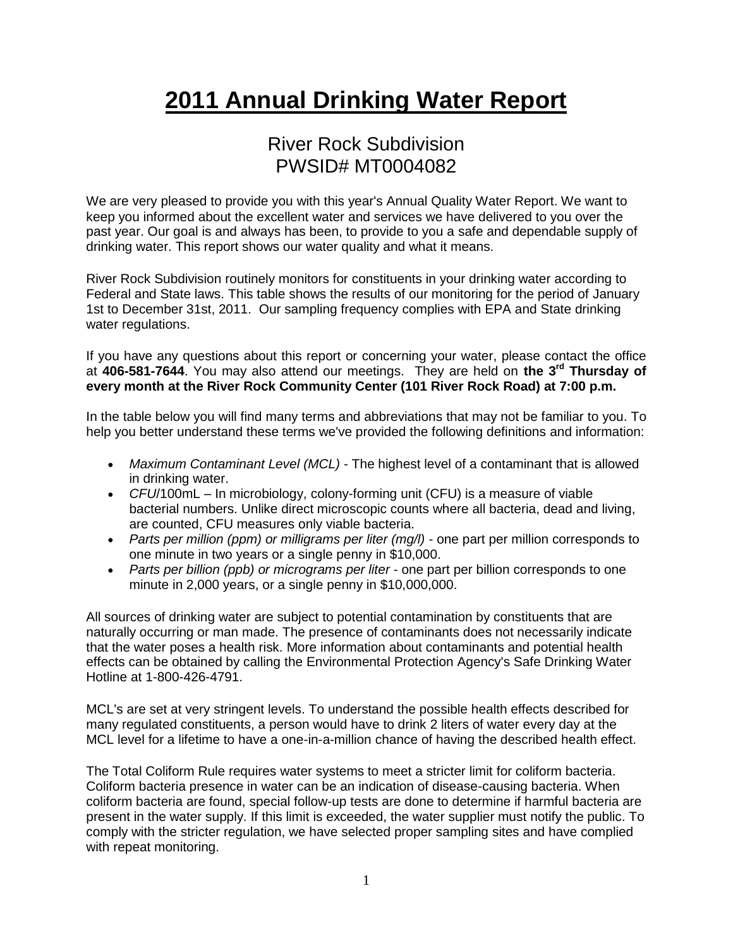## **2011 Annual Drinking Water Report**

## River Rock Subdivision PWSID# MT0004082

We are very pleased to provide you with this year's Annual Quality Water Report. We want to keep you informed about the excellent water and services we have delivered to you over the past year. Our goal is and always has been, to provide to you a safe and dependable supply of drinking water. This report shows our water quality and what it means.

River Rock Subdivision routinely monitors for constituents in your drinking water according to Federal and State laws. This table shows the results of our monitoring for the period of January 1st to December 31st, 2011. Our sampling frequency complies with EPA and State drinking water regulations.

If you have any questions about this report or concerning your water, please contact the office at **406-581-7644**. You may also attend our meetings. They are held on **the 3rd Thursday of every month at the River Rock Community Center (101 River Rock Road) at 7:00 p.m.**

In the table below you will find many terms and abbreviations that may not be familiar to you. To help you better understand these terms we've provided the following definitions and information:

- *Maximum Contaminant Level (MCL) -* The highest level of a contaminant that is allowed in drinking water.
- *CFU*/100mL In microbiology, colony-forming unit (CFU) is a measure of viable bacterial numbers. Unlike direct microscopic counts where all bacteria, dead and living, are counted, CFU measures only viable bacteria.
- *Parts per million (ppm) or milligrams per liter (mg/l)* one part per million corresponds to one minute in two years or a single penny in \$10,000.
- *Parts per billion (ppb) or micrograms per liter* one part per billion corresponds to one minute in 2,000 years, or a single penny in \$10,000,000.

All sources of drinking water are subject to potential contamination by constituents that are naturally occurring or man made. The presence of contaminants does not necessarily indicate that the water poses a health risk. More information about contaminants and potential health effects can be obtained by calling the Environmental Protection Agency's Safe Drinking Water Hotline at 1-800-426-4791.

MCL's are set at very stringent levels. To understand the possible health effects described for many regulated constituents, a person would have to drink 2 liters of water every day at the MCL level for a lifetime to have a one-in-a-million chance of having the described health effect.

The Total Coliform Rule requires water systems to meet a stricter limit for coliform bacteria. Coliform bacteria presence in water can be an indication of disease-causing bacteria. When coliform bacteria are found, special follow-up tests are done to determine if harmful bacteria are present in the water supply. If this limit is exceeded, the water supplier must notify the public. To comply with the stricter regulation, we have selected proper sampling sites and have complied with repeat monitoring.